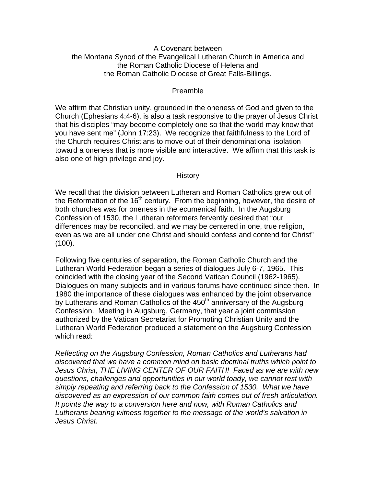### A Covenant between the Montana Synod of the Evangelical Lutheran Church in America and the Roman Catholic Diocese of Helena and the Roman Catholic Diocese of Great Falls-Billings.

#### Preamble

We affirm that Christian unity, grounded in the oneness of God and given to the Church (Ephesians 4:4-6), is also a task responsive to the prayer of Jesus Christ that his disciples "may become completely one so that the world may know that you have sent me" (John 17:23). We recognize that faithfulness to the Lord of the Church requires Christians to move out of their denominational isolation toward a oneness that is more visible and interactive. We affirm that this task is also one of high privilege and joy.

#### **History**

We recall that the division between Lutheran and Roman Catholics grew out of the Reformation of the  $16<sup>th</sup>$  century. From the beginning, however, the desire of both churches was for oneness in the ecumenical faith. In the Augsburg Confession of 1530, the Lutheran reformers fervently desired that "our differences may be reconciled, and we may be centered in one, true religion, even as we are all under one Christ and should confess and contend for Christ" (100).

Following five centuries of separation, the Roman Catholic Church and the Lutheran World Federation began a series of dialogues July 6-7, 1965. This coincided with the closing year of the Second Vatican Council (1962-1965). Dialogues on many subjects and in various forums have continued since then. In 1980 the importance of these dialogues was enhanced by the joint observance by Lutherans and Roman Catholics of the  $450<sup>th</sup>$  anniversary of the Augsburg Confession. Meeting in Augsburg, Germany, that year a joint commission authorized by the Vatican Secretariat for Promoting Christian Unity and the Lutheran World Federation produced a statement on the Augsburg Confession which read:

*Reflecting on the Augsburg Confession, Roman Catholics and Lutherans had discovered that we have a common mind on basic doctrinal truths which point to Jesus Christ, THE LIVING CENTER OF OUR FAITH! Faced as we are with new questions, challenges and opportunities in our world toady, we cannot rest with simply repeating and referring back to the Confession of 1530. What we have discovered as an expression of our common faith comes out of fresh articulation. It points the way to a conversion here and now, with Roman Catholics and Lutherans bearing witness together to the message of the world's salvation in Jesus Christ.*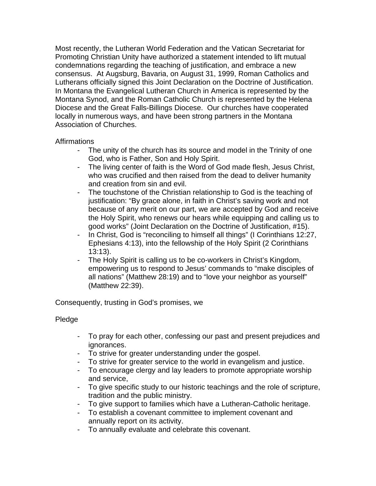Most recently, the Lutheran World Federation and the Vatican Secretariat for Promoting Christian Unity have authorized a statement intended to lift mutual condemnations regarding the teaching of justification, and embrace a new consensus. At Augsburg, Bavaria, on August 31, 1999, Roman Catholics and Lutherans officially signed this Joint Declaration on the Doctrine of Justification. In Montana the Evangelical Lutheran Church in America is represented by the Montana Synod, and the Roman Catholic Church is represented by the Helena Diocese and the Great Falls-Billings Diocese. Our churches have cooperated locally in numerous ways, and have been strong partners in the Montana Association of Churches.

## Affirmations

- The unity of the church has its source and model in the Trinity of one God, who is Father, Son and Holy Spirit.
- The living center of faith is the Word of God made flesh, Jesus Christ, who was crucified and then raised from the dead to deliver humanity and creation from sin and evil.
- The touchstone of the Christian relationship to God is the teaching of justification: "By grace alone, in faith in Christ's saving work and not because of any merit on our part, we are accepted by God and receive the Holy Spirit, who renews our hears while equipping and calling us to good works" (Joint Declaration on the Doctrine of Justification, #15).
- In Christ, God is "reconciling to himself all things" (I Corinthians 12:27, Ephesians 4:13), into the fellowship of the Holy Spirit (2 Corinthians 13:13).
- The Holy Spirit is calling us to be co-workers in Christ's Kingdom, empowering us to respond to Jesus' commands to "make disciples of all nations" (Matthew 28:19) and to "love your neighbor as yourself" (Matthew 22:39).

Consequently, trusting in God's promises, we

# Pledge

- To pray for each other, confessing our past and present prejudices and ignorances.
- To strive for greater understanding under the gospel.
- To strive for greater service to the world in evangelism and justice.
- To encourage clergy and lay leaders to promote appropriate worship and service,
- To give specific study to our historic teachings and the role of scripture, tradition and the public ministry.
- To give support to families which have a Lutheran-Catholic heritage.
- To establish a covenant committee to implement covenant and annually report on its activity.
- To annually evaluate and celebrate this covenant.